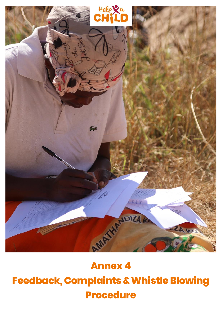

# **Annex 4**

# **Feedback, Complaints & Whistle Blowing Procedure**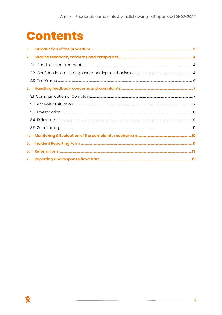# **Contents**

X

| 1. |  |
|----|--|
| 2. |  |
|    |  |
|    |  |
|    |  |
| 3. |  |
|    |  |
|    |  |
|    |  |
|    |  |
|    |  |
| 4. |  |
| 5. |  |
| 6. |  |
| 7. |  |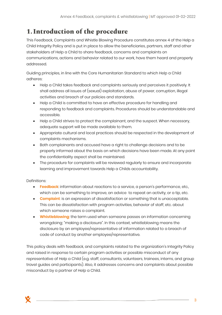## <span id="page-2-0"></span>**1. Introduction of the procedure**

This Feedback, Complaints and Whistle Blowing Procedure constitutes annex 4 of the Help a Child Integrity Policy and is put in place to allow the beneficiaries, partners, staff and other stakeholders of Help a Child to share feedback, concerns and complaints on communications, actions and behavior related to our work, have them heard and properly addressed.

Guiding principles, in line with the Core Humanitarian Standard to which Help a Child adheres:

- Help a Child takes feedback and complaints seriously and perceives it positively. It shall address all issues of (sexual) exploitation, abuse of power, corruption, illegal activities and breach of our policies and standards.
- Help a Child is committed to have an effective procedure for handling and responding to feedback and complaints. Procedures should be understandable and accessible.
- Help a Child strives to protect the complainant, and the suspect. When necessary, adequate support will be made available to them.
- Appropriate cultural and local practices should be respected in the development of complaints mechanisms.
- Both complainants and accused have a right to challenge decisions and to be properly informed about the basis on which decisions have been made. At any point the confidentiality aspect shall be maintained.
- The procedure for complaints will be reviewed regularly to ensure and incorporate learning and improvement towards Help a Childs accountability.

#### Definitions:

- **Feedback**: information about reactions to a service, a person's performance, etc., which can be something to improve, an advice to repeat an activity, or a tip, etc.
- **Complaint**: is an expression of dissatisfaction or something that is unacceptable. This can be dissatisfaction with program activities, behavior of staff, etc. about which someone raises a complaint.
- **Whistleblowing**: the term used when someone passes on information concerning wrongdoing; "making a disclosure". In this context, whistleblowing means the disclosure by an employee/representative of information related to a breach of code of conduct by another employee/representative.

This policy deals with feedback, and complaints related to the organization's Integrity Policy and raised in response to certain program activities or possible misconduct of any representative of Help a Child (e.g. staff, consultants, volunteers, trainees, interns, and group travel guides and participants). Also, it addresses concerns and complaints about possible misconduct by a partner of Help a Child.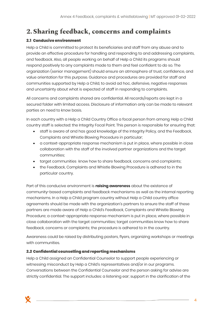## <span id="page-3-0"></span>**2.Sharing feedback, concerns and complaints**

### <span id="page-3-1"></span>2.1 Conducive environment

Help a Child is committed to protect its beneficiaries and staff from any abuse and to provide an effective procedure for handling and responding to and addressing complaints, and feedback. Also, all people working on behalf of Help a Child its programs should respond positively to any complaints made to them and feel confident to do so. The organization (senior management) should ensure an atmosphere of trust, confidence, and value orientation for this purpose. Guidance and procedures are provided for staff and communities supported by Help a Child, to avoid ad hoc, defensive, negative responses and uncertainty about what is expected of staff in responding to complaints.

All concerns and complaints shared are confidential. All records/reports are kept in a secured folder with limited access. Disclosure of information only can be made to relevant parties on need to know basis.

In each country with a Help a Child Country Office a focal person from among Help a Child country staff is selected: the Integrity Focal Point. This person is responsible for ensuring that:

- staff is aware of and has good knowledge of the Integrity Policy, and the Feedback, Complaints and Whistle Blowing Procedure in particular;
- a context-appropriate response mechanism is put in place, where possible in close collaboration with the staff of the involved partner organizations and the target communities;
- target communities know how to share feedback, concerns and complaints;
- the Feedback, Complaints and Whistle Blowing Procedure is adhered to in the particular country.

Part of this conducive environment is **raising awareness** about the existence of community-based complaints and feedback mechanisms as well as the internal reporting mechanisms. In a Help a Child program country without Help a Child country office agreements should be made with the organization's partners to ensure the staff of these partners are made aware of Help a Child's Feedback, Complaints and Whistle Blowing Procedure; a context-appropriate response mechanism is put in place, where possible in close collaboration with the target communities; target communities know how to share feedback, concerns or complaints; the procedure is adhered to in the country.

Awareness could be raised by distributing posters, flyers, organizing workshops or meetings with communities.

### <span id="page-3-2"></span>2.2 Confidential counselling and reporting mechanisms

Help a Child assigned an Confidential Counselor to support people experiencing or witnessing misconduct by Help a Child's representatives and/or in our programs. Conversations between the Confidential Counselor and the person asking for advise are strictly confidential. The support includes: a listening ear; support in the clarification of the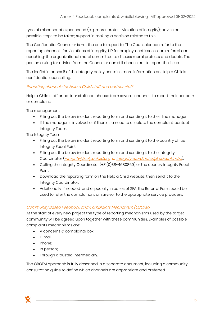type of misconduct experienced (e.g. moral protest, violation of integrity); advise on possible steps to be taken; support in making a decision related to this.

The Confidential Counselor is not the one to report to. The Counselor can refer to the reporting channels for violations of integrity; HR for employment issues, care referral and coaching; the organizational moral committee to discuss moral protests and doubts. The person asking for advice from the Counselor can still choose not to report the issue.

The leaflet in annex 5 of the Integrity policy contains more information on Help a Child's confidential counselling.

#### Reporting channels for Help a Child staff and partner staff

Help a Child staff or partner staff can choose from several channels to report their concern or complaint:

The management

- Filling out the below incident reporting form and sending it to their line manager.
- If line manager is involved, or if there is a need to escalate the complaint, contact Integrity Team.

The Integrity Team

- Filling out the below incident reporting form and sending it to the country office Integrity Focal Point.
- Filling out the below incident reporting form and sending it to the Integrity Coordinator (*[integrity@helpachild.org,](mailto:integrity@helpachild.org) o[r integritycoordinator@redeenkind.nl](mailto:integritycoordinator@redeenkind.nl)*).
- Calling the Integrity Coordinator (+31(0)38-4680869) or the country Integrity Focal Point.
- Download the reporting form on the Help a Child website; then send it to the Integrity Coordinator.
- Additionally, if needed, and especially in cases of SEA, the Referral Form could be used to refer the complainant or survivor to the appropriate service providers.

### Community Based Feedback and Complaints Mechanism (CBCFM)

At the start of every new project the type of reporting mechanisms used by the target community will be agreed upon together with these communities. Examples of possible complaints mechanisms are:

- A concerns & complaints box;
- E-mail;
- Phone;
- In person;
- Through a trusted intermediary.

The CBCFM approach is fully described in a separate document, including a community consultation guide to define which channels are appropriate and preferred.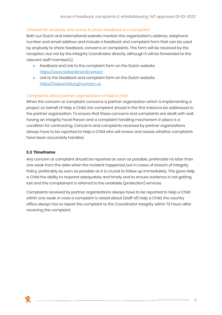#### Channel for anybody who wants to share feedback or a complaint

Both our Dutch and international website mention the organization's address, telephone number and email address and include a feedback and complaint form that can be used by anybody to share feedback, concerns or complaints. This form will be received by the reception, but not by the Integrity Coordinator directly, although it will be forwarded to the relevant staff member(s).

- feedback and Link to the complaint form on the Dutch website: <https://www.redeenkind.nl/contact>
- Link to the feedback and complaint form on the Dutch website: <https://helpachild.org/contact-us>

#### Complaints about partner organizations of help a child

When the concern or complaint concerns a partner organization which is implementing a project on behalf of Help a Child, the complaint should in the first instance be addressed to the partner organization. To ensure that these concerns and complaints are dealt with well, having an Integrity Focal Person and a complaint handling mechanism in place is a condition for contracting. Concerns and complaints received by partner organizations always have to be reported to Help a Child who will review and assess whether complaints have been accurately handled.

#### <span id="page-5-0"></span>2.3 Timeframe

Any concern or complaint should be reported as soon as possible, preferable no later than one week from the date when the incident happened, but in cases of breach of Integrity Policy, preferably as soon as possible as it is crucial to follow up immediately. This gives Help a Child the ability to respond adequately and timely and to ensure evidence is not getting lost and the complainant is referred to the available (protection) services.

Complaints received by partner organizations always have to be reported to Help a Child within one week. In case a complaint is raised about (staff of) Help a Child, the country office always has to report the complaint to the Coordinator Integrity within 72 hours after receiving the complaint.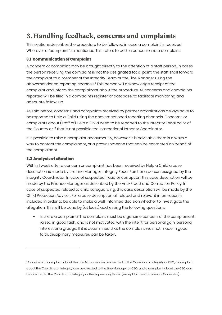## <span id="page-6-0"></span>**3.Handling feedback, concerns and complaints**

This sections describes the procedure to be followed in case a complaint is received. Wherever a "complaint" is mentioned, this refers to both a concern and a complaint.

#### <span id="page-6-1"></span>**3.1 Communication of Complaint**

A concern or complaint may be brought directly to the attention of a staff person. In cases the person receiving the complaint is not the designated focal point, the staff shall forward the complaint to a member of the Integrity Team or the Line Manager using the abovementioned reporting channels.<sup>1</sup> This person will acknowledge receipt of the complaint and inform the complainant about the procedure. All concerns and complaints reported will be filed in a complaints register or database, to facilitate monitoring and adequate follow-up.

As said before, concerns and complaints received by partner organizations always have to be reported to Help a Child using the abovementioned reporting channels. Concerns or complaints about (staff of) Help a Child need to be reported to the Integrity Focal point of the Country or if that is not possible the international Integrity Coordinator.

It is possible to raise a complaint anonymously, however it is advisable there is always a way to contact the complainant, or a proxy: someone that can be contacted on behalf of the complainant.

#### <span id="page-6-2"></span>**3.2 Analysis of situation**

Within 1 week after a concern or complaint has been received by Help a Child a case description is made by the Line Manager, Integrity Focal Point or a person assigned by the Integrity Coordinator. In case of suspected fraud or corruption, this case description will be made by the Finance Manager as described by the Anti-Fraud and Corruption Policy. In case of suspected related to child safeguarding, this case description will be made by the Child Protection Advisor. For a case description all related and relevant information is included in order to be able to make a well-informed decision whether to investigate the allegation. This will be done by (at least) addressing the following questions:

• Is there a complaint? The complaint must be a genuine concern of the complainant, raised in good faith, and is not motivated with the intent for personal gain, personal interest or a grudge. If it is determined that the complaint was not made in good faith, disciplinary measures can be taken.

<sup>&</sup>lt;sup>1</sup> A concern or complaint about the Line Manager can be directed to the Coordinator Integrity or CEO, a complaint about the Coordinator Integrity can be directed to the Line Manager or CEO, and a complaint about the CEO can be directed to the Coordinator Integrity or the Supervisory Board (except for the Confidential Counselor).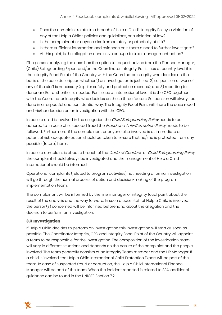- Does the complaint relate to a breach of Help a Child's Integrity Policy, a violation of any of the Help a Childs policies and guidelines, or a violation of law?
- Is the complainant or anyone else immediately or potentially at risk?
- Is there sufficient information and evidence or is there a need to further investigate?
- At this point, is the allegation conclusive enough to take management action?

IThe person analyzing the case has the option to request advice from the Finance Manager, (Child) Safeguarding Expert and/or the Coordinator Integrity. For issues at country level it is the Integrity Focal Point of the Country with the Coordinator Integrity who decides on the basis of the case description whether 1) an investigation is justified, 2) suspension of work of any of the staff is necessary (e.g. for safety and protection reasons); and 3) reporting to donor and/or authorities is needed. For issues at international level, it is the CEO together with the Coordinator Integrity who decides on these three factors. Suspension will always be done in a respectful and confidential way. The Integrity Focal Point will share the case report and his/her decision on an investigation with the CEO.

In case a child is involved in the allegation the *Child Safequarding Policy* needs to be adhered to, in case of suspected fraud the Fraud and Anti-Corruption Policy needs to be followed. Furthermore, if the complainant or anyone else involved is at immediate or potential risk, adequate action should be taken to ensure that he/she is protected from any possible (future) harm.

In case a complaint is about a breach of the *Code of Conduct* or *Child Safeguarding Policy* the complaint should always be investigated and the management of Help a Child International should be informed.

Operational complaints (related to program activities) not needing a formal investigation will go through the normal process of action and decision-making of the program implementation team.

The complainant will be informed by the line manager or integrity focal point about the result of the analysis and the way forward. In such a case staff of Help a Child is involved, the person(s) concerned will be informed beforehand about the allegation and the decision to perform an investigation.

#### <span id="page-7-0"></span>**3.3 Investigation**

If Help a Child decides to perform an investigation this investigation will start as soon as possible. The Coordinator Integrity, CEO and Integrity Focal Point of the Country will appoint a team to be responsible for the investigation. The composition of the investigation team will vary in different situations and depends on the nature of the complaint and the people involved. The team generally consists of an Integrity Team member and the HR Manager. If a child is involved, the Help a Child International Child Protection Expert will be part of the team. In case of suspected fraud or corruption, the Help a Child International Finance Manager will be part of the team. When the incident reported is related to SEA, additional guidance can be found in the UNICEF Section 7.2.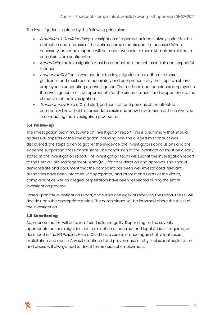The investigation is guided by the following principles:

- Protection & Confidentiality: Investigation of reported incidents always prioritize the protection and interests of the victims, complainants and the accused. When necessary, adequate support will be made available to them. All matters related to complaints are confidential.
- Impartiality. the investigation must be conducted in an unbiased, fair and respectful manner.
- Accountability: Those who conduct the investigation must adhere to these guidelines and must record accurately and comprehensively the steps which are employed in conducting an investigation. The methods and techniques employed in the investigation must be appropriate for the circumstances and proportional to the objectives of the investigation.
- Transparency: Help a Child staff, partner staff and persons of the affected community know that this procedure exists and know how to access those involved in conducting the investigation procedure.

#### <span id="page-8-0"></span>3.4 Follow-up

The investigation team must write an investigation report. This is a summary that should address all aspects of the investigation including how the alleged misconduct was discovered, the steps taken to gather the evidence, the investigators conclusions and the evidence supporting those conclusions. The conclusion of the investigation must be clearly stated in the investigation report. The investigation team will submit the investigation report to the Help a Child Management Team (MT) for consideration and approval. This should demonstrate and document that the complaint has been well investigated, relevant authorities have been informed (if appropriate) and interest and rights of the victim, complainant as well as alleged perpetrators have been respected during the entire investigation process.

Based upon the investigation report, and within one week of receiving the report, the MT will decide upon the appropriate action. The complainant will be informed about the result of the investigation.

#### <span id="page-8-1"></span>**3.5 Sanctioning**

Appropriate action will be taken if staff is found guilty. Depending on the severity appropriate actions might include termination of contract and legal action if required, as described in the HR Policies. Help a Child has a zero tolerance against physical sexual exploitation and abuse. Any substantiated and proven case of physical sexual exploitation and abuse will always lead to direct termination of employment.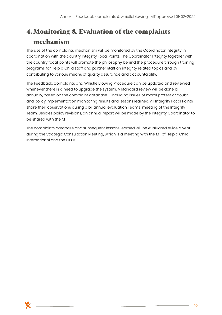# <span id="page-9-0"></span>**4.Monitoring & Evaluation of the complaints mechanism**

The use of the complaints mechanism will be monitored by the Coordinator Integrity in coordination with the country Integrity Focal Points. The Coordinator Integrity together with the country focal points will promote the philosophy behind the procedure through training programs for Help a Child staff and partner staff on integrity related topics and by contributing to various means of quality assurance and accountability.

The Feedback, Complaints and Whistle Blowing Procedure can be updated and reviewed whenever there is a need to upgrade the system. A standard review will be done biannually, based on the complaint database – including issues of moral protest or doubt – and policy implementation monitoring results and lessons learned. All Integrity Focal Points share their observations during a bi-annual evaluation Teams-meeting of the Integrity Team. Besides policy revisions, an annual report will be made by the Integrity Coordinator to be shared with the MT.

The complaints database and subsequent lessons learned will be evaluated twice a year during the Strategic Consultation Meeting, which is a meeting with the MT of Help a Child International and the CPDs.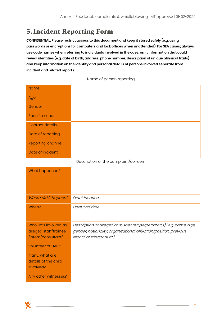### <span id="page-10-0"></span>**5. Incident Reporting Form**

**CONFIDENTIAL: Please restrict access to this document and keep it stored safely (e.g. using passwords or encryptions for computers and lock offices when unattended). For SEA cases; always use code names when referring to individuals involved in the case, omit information that could reveal identities (e.g. date of birth, address, phone number, description of unique physical traits) and keep information on the identity and personal details of persons involved separate from incident and related reports.**

#### Name of person reporting

| <b>Name</b>              |  |
|--------------------------|--|
| Age                      |  |
| Gender                   |  |
| <b>Specific needs</b>    |  |
| <b>Contact details</b>   |  |
| Date of reporting        |  |
| <b>Reporting channel</b> |  |
| Date of incident         |  |

#### Description of the complaint/concern

| What happened?                                                      |                                                                                                                                                                    |
|---------------------------------------------------------------------|--------------------------------------------------------------------------------------------------------------------------------------------------------------------|
|                                                                     |                                                                                                                                                                    |
| Where did it happen?                                                | Exact location                                                                                                                                                     |
| When?                                                               | Date and time                                                                                                                                                      |
|                                                                     |                                                                                                                                                                    |
| Who was involved as<br>alleged staff/trainee<br>/intern/consultant/ | Description of alleged or suspected perpetrator(s) (e.g. name, age,<br>gender, nationality, organizational affiliation/position, previous<br>record of misconduct) |
| volunteer of HAC?                                                   |                                                                                                                                                                    |
| If any, what are<br>details of the child<br>involved?               |                                                                                                                                                                    |
| Any other witnesses?                                                |                                                                                                                                                                    |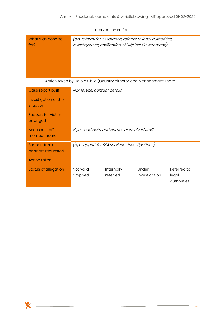#### Intervention so far

| What was done so<br>for? | (e.g. referral for assistance, referral to local authorities,<br>investigations, notification of UN/Host Government): |
|--------------------------|-----------------------------------------------------------------------------------------------------------------------|
|                          |                                                                                                                       |
|                          |                                                                                                                       |

#### Action taken by Help a Child (Country director and Management Team)

| Case report built                         | Name, title, contact details                     |                        |                        |                                     |
|-------------------------------------------|--------------------------------------------------|------------------------|------------------------|-------------------------------------|
| Investigation of the<br>situation         |                                                  |                        |                        |                                     |
| <b>Support for victim</b><br>arranged     |                                                  |                        |                        |                                     |
| <b>Accused staff</b><br>member heard      | If yes, add date and names of involved staff.    |                        |                        |                                     |
| <b>Support from</b><br>partners requested | (e.g. support for SEA survivors, investigations) |                        |                        |                                     |
| <b>Action taken</b>                       |                                                  |                        |                        |                                     |
| <b>Status of allegation</b>               | Not valid,<br>dropped                            | Internally<br>referred | Under<br>investigation | Referred to<br>legal<br>authorities |

<u> 1989 - Johann Barn, mars ann an t-Amhain Aonaich an t-Aonaich an t-Aonaich an t-Aonaich an t-Aonaich an t-Aon</u>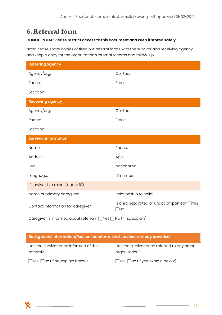# <span id="page-12-0"></span>**6.Referral form**

### **CONFIDENTIAL: Please restrict access to this document and keep it stored safely.**

Note: Please share copies of filled out referral forms with the survivor and receiving agency and keep a copy for the organization's internal records and follow-up.

| <b>Referring agency</b>                                                     |                                                        |  |  |  |
|-----------------------------------------------------------------------------|--------------------------------------------------------|--|--|--|
| Agency/org:                                                                 | Contact:                                               |  |  |  |
| Phone:                                                                      | Email:                                                 |  |  |  |
| Location                                                                    |                                                        |  |  |  |
| <b>Receiving agency</b>                                                     |                                                        |  |  |  |
| Agency/org:                                                                 | Contact:                                               |  |  |  |
| Phone:                                                                      | Email:                                                 |  |  |  |
| Location                                                                    |                                                        |  |  |  |
| <b>Survivor information</b>                                                 |                                                        |  |  |  |
| Name:                                                                       | Phone:                                                 |  |  |  |
| Address:                                                                    | Age:                                                   |  |  |  |
| Sex                                                                         | Nationality:                                           |  |  |  |
| Language:                                                                   | ID number                                              |  |  |  |
| If survivor is a minor (under 18)                                           |                                                        |  |  |  |
| Name of primary caregiver:                                                  | Relationship to child:                                 |  |  |  |
| Contact information for caregiver:                                          | Is child separated or unaccompanied? Thes<br>$\Box$ No |  |  |  |
| Caregiver is informed about referral? $\Box$ Yes $\Box$ No (If no, explain) |                                                        |  |  |  |

| Background Information/Reason for referral and services already provided |                                                              |  |  |
|--------------------------------------------------------------------------|--------------------------------------------------------------|--|--|
| Has the survivor been informed of the<br>referral?                       | Has the survivor been referred to any other<br>organization? |  |  |
| $\Box$ Yes $\Box$ No (If no, explain below)                              | $\Box$ Yes $\Box$ No (If yes, explain below)                 |  |  |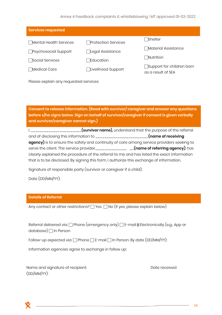#### Annex 4 Feedback, complaints & whistleblowing | MT approved 01-02-2022

| <b>Services requested</b> |                       |                                                        |  |  |
|---------------------------|-----------------------|--------------------------------------------------------|--|--|
| Mental Health Services    | □ Protection Services | □Shelter                                               |  |  |
| □Psychosocial Support     | □Legal Assistance     | ◯Material Assistance                                   |  |  |
| <b>□</b> Social Services  | $\Box$ Education      | $\Box$ Nutrition                                       |  |  |
| <b>□Medical Care</b>      | □Livelihood Support   | $\Box$ Support for children born<br>as a result of SEA |  |  |

Please explain any requested services:

**Consent to release information. (Read with survivor/ caregiver and answer any questions before s/he signs below. Sign on behalf of survivor/caregiver if consent is given verbally and survivor/caregiver cannot sign.)**

|                                                                                            | (survivor name), understand that the purpose of the referral |
|--------------------------------------------------------------------------------------------|--------------------------------------------------------------|
| and of disclosing this information to _________________________(name of receiving          |                                                              |
| agency) is to ensure the safety and continuity of care among service providers seeking to  |                                                              |
|                                                                                            |                                                              |
| clearly explained the procedure of the referral to me and has listed the exact information |                                                              |
| that is to be disclosed. By signing this form, I authorize this exchange of information.   |                                                              |

Signature of responsible party (survivor or caregiver if a child):

Date (DD/MM/YY):

#### **Details of Referral**

Any contact or other restrictions?  $\Box$  Yes  $\Box$  No (If yes, please explain below)

Referral delivered via:  $\Box$  Phone (emergency only)  $\Box$  E-mail **Ø** Electronically (e.g., App or database)  $\Box$  In Person

Follow-up expected via:  $\Box$  Phone  $\Box$  E-mail  $\Box$  In Person. By date (DD/MM/YY):

Information agencies agree to exchange in follow up:

Name and signature of recipient: Name and signature of recipient: (DD/MM/YY):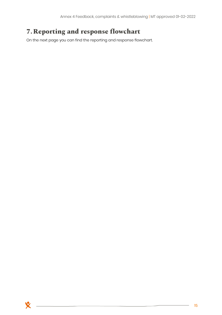# <span id="page-14-0"></span>**7.Reporting and response flowchart**

On the next page you can find the reporting and response flowchart.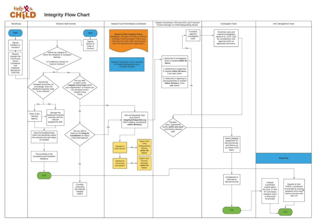

### **Integrity Flow Chart**